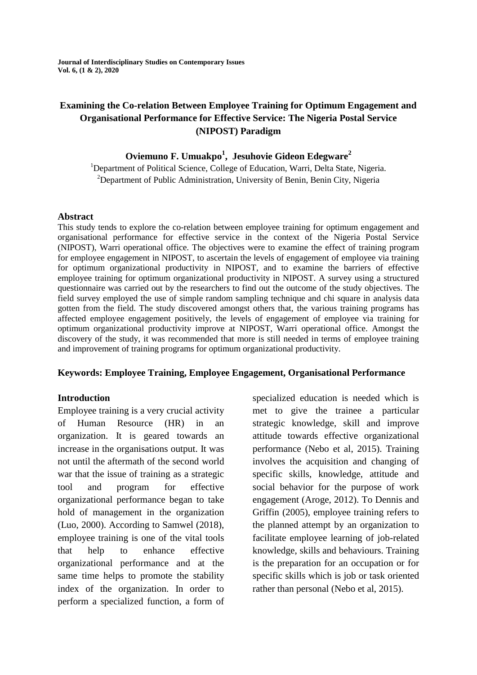**Journal of Interdisciplinary Studies on Contemporary Issues Vol. 6, (1 & 2), 2020**

# **Examining the Co-relation Between Employee Training for Optimum Engagement and Organisational Performance for Effective Service: The Nigeria Postal Service (NIPOST) Paradigm**

**Oviemuno F. Umuakpo<sup>1</sup> , Jesuhovie Gideon Edegware<sup>2</sup>**

<sup>1</sup>Department of Political Science, College of Education, Warri, Delta State, Nigeria. <sup>2</sup>Department of Public Administration, University of Benin, Benin City, Nigeria

#### **Abstract**

This study tends to explore the co-relation between employee training for optimum engagement and organisational performance for effective service in the context of the Nigeria Postal Service (NIPOST), Warri operational office. The objectives were to examine the effect of training program for employee engagement in NIPOST, to ascertain the levels of engagement of employee via training for optimum organizational productivity in NIPOST, and to examine the barriers of effective employee training for optimum organizational productivity in NIPOST. A survey using a structured questionnaire was carried out by the researchers to find out the outcome of the study objectives. The field survey employed the use of simple random sampling technique and chi square in analysis data gotten from the field. The study discovered amongst others that, the various training programs has affected employee engagement positively, the levels of engagement of employee via training for optimum organizational productivity improve at NIPOST, Warri operational office. Amongst the discovery of the study, it was recommended that more is still needed in terms of employee training and improvement of training programs for optimum organizational productivity.

#### **Keywords: Employee Training, Employee Engagement, Organisational Performance**

#### **Introduction**

Employee training is a very crucial activity of Human Resource (HR) in an organization. It is geared towards an increase in the organisations output. It was not until the aftermath of the second world war that the issue of training as a strategic tool and program for effective organizational performance began to take hold of management in the organization (Luo, 2000). According to Samwel (2018), employee training is one of the vital tools that help to enhance effective organizational performance and at the same time helps to promote the stability index of the organization. In order to perform a specialized function, a form of specialized education is needed which is met to give the trainee a particular strategic knowledge, skill and improve attitude towards effective organizational performance (Nebo et al, 2015). Training involves the acquisition and changing of specific skills, knowledge, attitude and social behavior for the purpose of work engagement (Aroge, 2012). To Dennis and Griffin (2005), employee training refers to the planned attempt by an organization to facilitate employee learning of job-related knowledge, skills and behaviours. Training is the preparation for an occupation or for specific skills which is job or task oriented rather than personal (Nebo et al, 2015).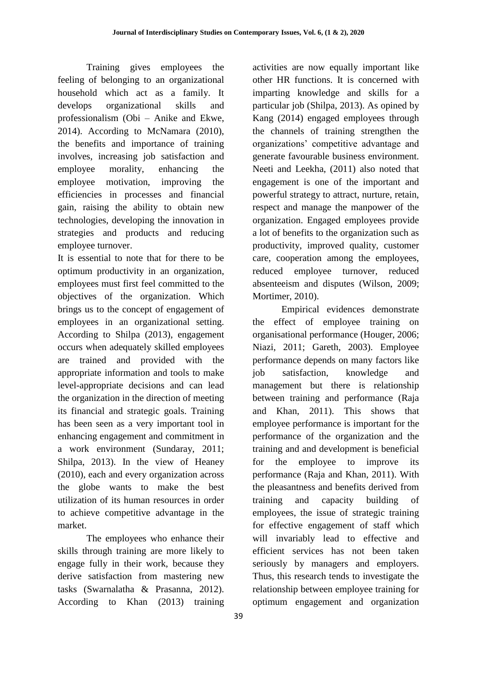Training gives employees the feeling of belonging to an organizational household which act as a family. It develops organizational skills and professionalism (Obi – Anike and Ekwe, 2014). According to McNamara (2010), the benefits and importance of training involves, increasing job satisfaction and employee morality, enhancing the employee motivation, improving the efficiencies in processes and financial gain, raising the ability to obtain new technologies, developing the innovation in strategies and products and reducing employee turnover.

It is essential to note that for there to be optimum productivity in an organization, employees must first feel committed to the objectives of the organization. Which brings us to the concept of engagement of employees in an organizational setting. According to Shilpa (2013), engagement occurs when adequately skilled employees are trained and provided with the appropriate information and tools to make level-appropriate decisions and can lead the organization in the direction of meeting its financial and strategic goals. Training has been seen as a very important tool in enhancing engagement and commitment in a work environment (Sundaray, 2011; Shilpa, 2013). In the view of Heaney (2010), each and every organization across the globe wants to make the best utilization of its human resources in order to achieve competitive advantage in the market.

The employees who enhance their skills through training are more likely to engage fully in their work, because they derive satisfaction from mastering new tasks (Swarnalatha & Prasanna, 2012). According to Khan (2013) training activities are now equally important like other HR functions. It is concerned with imparting knowledge and skills for a particular job (Shilpa, 2013). As opined by Kang (2014) engaged employees through the channels of training strengthen the organizations' competitive advantage and generate favourable business environment. Neeti and Leekha, (2011) also noted that engagement is one of the important and powerful strategy to attract, nurture, retain, respect and manage the manpower of the organization. Engaged employees provide a lot of benefits to the organization such as productivity, improved quality, customer care, cooperation among the employees, reduced employee turnover, reduced absenteeism and disputes (Wilson, 2009; Mortimer, 2010).

Empirical evidences demonstrate the effect of employee training on organisational performance (Houger, 2006; Niazi, 2011; Gareth, 2003). Employee performance depends on many factors like job satisfaction, knowledge and management but there is relationship between training and performance (Raja and Khan, 2011). This shows that employee performance is important for the performance of the organization and the training and and development is beneficial for the employee to improve its performance (Raja and Khan, 2011). With the pleasantness and benefits derived from training and capacity building of employees, the issue of strategic training for effective engagement of staff which will invariably lead to effective and efficient services has not been taken seriously by managers and employers. Thus, this research tends to investigate the relationship between employee training for optimum engagement and organization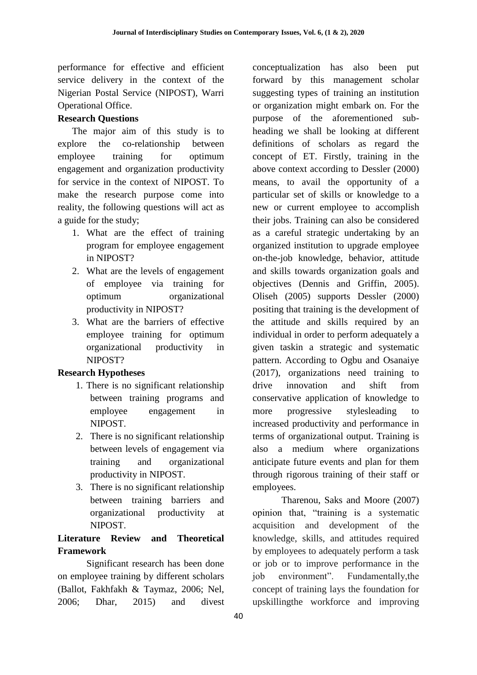performance for effective and efficient service delivery in the context of the Nigerian Postal Service (NIPOST), Warri Operational Office.

## **Research Questions**

The major aim of this study is to explore the co-relationship between employee training for optimum engagement and organization productivity for service in the context of NIPOST. To make the research purpose come into reality, the following questions will act as a guide for the study;

- 1. What are the effect of training program for employee engagement in NIPOST?
- 2. What are the levels of engagement of employee via training for optimum organizational productivity in NIPOST?
- 3. What are the barriers of effective employee training for optimum organizational productivity in NIPOST?

## **Research Hypotheses**

- 1. There is no significant relationship between training programs and employee engagement in NIPOST.
- 2. There is no significant relationship between levels of engagement via training and organizational productivity in NIPOST.
- 3. There is no significant relationship between training barriers and organizational productivity at NIPOST.

# **Literature Review and Theoretical Framework**

Significant research has been done on employee training by different scholars (Ballot, Fakhfakh & Taymaz, 2006; Nel, 2006; Dhar, 2015) and divest

conceptualization has also been put forward by this management scholar suggesting types of training an institution or organization might embark on. For the purpose of the aforementioned subheading we shall be looking at different definitions of scholars as regard the concept of ET. Firstly, training in the above context according to Dessler (2000) means, to avail the opportunity of a particular set of skills or knowledge to a new or current employee to accomplish their jobs. Training can also be considered as a careful strategic undertaking by an organized institution to upgrade employee on-the-job knowledge, behavior, attitude and skills towards organization goals and objectives (Dennis and Griffin, 2005). Oliseh (2005) supports Dessler (2000) positing that training is the development of the attitude and skills required by an individual in order to perform adequately a given taskin a strategic and systematic pattern. According to Ogbu and Osanaiye (2017), organizations need training to drive innovation and shift from conservative application of knowledge to more progressive stylesleading to increased productivity and performance in terms of organizational output. Training is also a medium where organizations anticipate future events and plan for them through rigorous training of their staff or employees.

Tharenou, Saks and Moore (2007) opinion that, "training is a systematic acquisition and development of the knowledge, skills, and attitudes required by employees to adequately perform a task or job or to improve performance in the job environment". Fundamentally,the concept of training lays the foundation for upskillingthe workforce and improving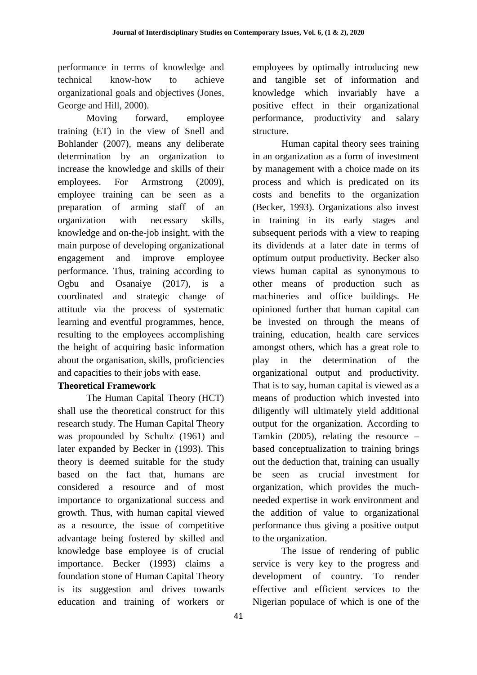performance in terms of knowledge and technical know-how to achieve organizational goals and objectives (Jones, George and Hill, 2000).

Moving forward, employee training (ET) in the view of Snell and Bohlander (2007), means any deliberate determination by an organization to increase the knowledge and skills of their employees. For Armstrong (2009), employee training can be seen as a preparation of arming staff of an organization with necessary skills, knowledge and on-the-job insight, with the main purpose of developing organizational engagement and improve employee performance. Thus, training according to Ogbu and Osanaiye (2017), is a coordinated and strategic change of attitude via the process of systematic learning and eventful programmes, hence, resulting to the employees accomplishing the height of acquiring basic information about the organisation, skills, proficiencies and capacities to their jobs with ease.

## **Theoretical Framework**

The Human Capital Theory (HCT) shall use the theoretical construct for this research study. The Human Capital Theory was propounded by Schultz (1961) and later expanded by Becker in (1993). This theory is deemed suitable for the study based on the fact that, humans are considered a resource and of most importance to organizational success and growth. Thus, with human capital viewed as a resource, the issue of competitive advantage being fostered by skilled and knowledge base employee is of crucial importance. Becker (1993) claims a foundation stone of Human Capital Theory is its suggestion and drives towards education and training of workers or

employees by optimally introducing new and tangible set of information and knowledge which invariably have a positive effect in their organizational performance, productivity and salary structure.

Human capital theory sees training in an organization as a form of investment by management with a choice made on its process and which is predicated on its costs and benefits to the organization (Becker, 1993). Organizations also invest in training in its early stages and subsequent periods with a view to reaping its dividends at a later date in terms of optimum output productivity. Becker also views human capital as synonymous to other means of production such as machineries and office buildings. He opinioned further that human capital can be invested on through the means of training, education, health care services amongst others, which has a great role to play in the determination of the organizational output and productivity. That is to say, human capital is viewed as a means of production which invested into diligently will ultimately yield additional output for the organization. According to Tamkin  $(2005)$ , relating the resource – based conceptualization to training brings out the deduction that, training can usually be seen as crucial investment for organization, which provides the muchneeded expertise in work environment and the addition of value to organizational performance thus giving a positive output to the organization.

The issue of rendering of public service is very key to the progress and development of country. To render effective and efficient services to the Nigerian populace of which is one of the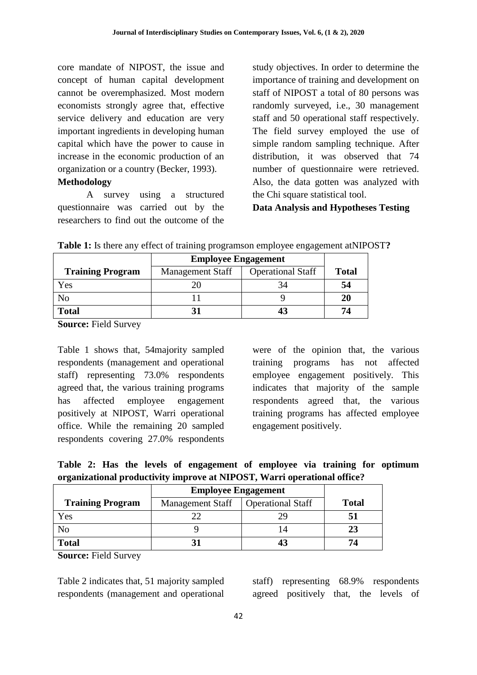core mandate of NIPOST, the issue and concept of human capital development cannot be overemphasized. Most modern economists strongly agree that, effective service delivery and education are very important ingredients in developing human capital which have the power to cause in increase in the economic production of an organization or a country (Becker, 1993). **Methodology**

A survey using a structured questionnaire was carried out by the researchers to find out the outcome of the

study objectives. In order to determine the importance of training and development on staff of NIPOST a total of 80 persons was randomly surveyed, i.e., 30 management staff and 50 operational staff respectively. The field survey employed the use of simple random sampling technique. After distribution, it was observed that 74 number of questionnaire were retrieved. Also, the data gotten was analyzed with the Chi square statistical tool.

**Data Analysis and Hypotheses Testing**

|                         | <b>Employee Engagement</b> |                          |              |
|-------------------------|----------------------------|--------------------------|--------------|
| <b>Training Program</b> | <b>Management Staff</b>    | <b>Operational Staff</b> | <b>Total</b> |
| Yes                     |                            | 34                       | 54           |
| No                      |                            |                          | 20           |
| <b>Total</b>            |                            |                          | 74           |

**Table 1:** Is there any effect of training programson employee engagement atNIPOST**?**

**Source:** Field Survey

Table 1 shows that, 54majority sampled respondents (management and operational staff) representing 73.0% respondents agreed that, the various training programs has affected employee engagement positively at NIPOST, Warri operational office. While the remaining 20 sampled respondents covering 27.0% respondents were of the opinion that, the various training programs has not affected employee engagement positively. This indicates that majority of the sample respondents agreed that, the various training programs has affected employee engagement positively.

**Table 2: Has the levels of engagement of employee via training for optimum organizational productivity improve at NIPOST, Warri operational office?**

|                         | <b>Employee Engagement</b> |                          |              |
|-------------------------|----------------------------|--------------------------|--------------|
| <b>Training Program</b> | <b>Management Staff</b>    | <b>Operational Staff</b> | <b>Total</b> |
| Yes                     |                            |                          |              |
| No                      |                            |                          | 23           |
| <b>Total</b>            |                            |                          | 74           |

**Source:** Field Survey

Table 2 indicates that, 51 majority sampled respondents (management and operational staff) representing 68.9% respondents agreed positively that, the levels of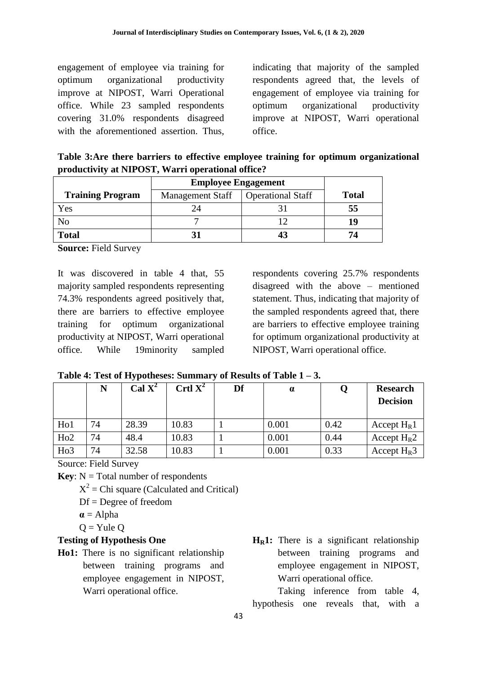engagement of employee via training for optimum organizational productivity improve at NIPOST, Warri Operational office. While 23 sampled respondents covering 31.0% respondents disagreed with the aforementioned assertion. Thus,

indicating that majority of the sampled respondents agreed that, the levels of engagement of employee via training for optimum organizational productivity improve at NIPOST, Warri operational office.

**Table 3:Are there barriers to effective employee training for optimum organizational productivity at NIPOST, Warri operational office?**

|                         | <b>Employee Engagement</b> |                          |              |
|-------------------------|----------------------------|--------------------------|--------------|
| <b>Training Program</b> | <b>Management Staff</b>    | <b>Operational Staff</b> | <b>Total</b> |
| Yes                     |                            |                          | 55           |
| No                      |                            |                          |              |
| <b>Total</b>            |                            | 4.                       | 74           |

**Source:** Field Survey

It was discovered in table 4 that, 55 majority sampled respondents representing 74.3% respondents agreed positively that, there are barriers to effective employee training for optimum organizational productivity at NIPOST, Warri operational office. While 19minority sampled respondents covering 25.7% respondents disagreed with the above – mentioned statement. Thus, indicating that majority of the sampled respondents agreed that, there are barriers to effective employee training for optimum organizational productivity at NIPOST, Warri operational office.

**Table 4: Test of Hypotheses: Summary of Results of Table 1 – 3.**

|                  | N  | Cal $X^2$ | Crtl $X^2$ | Df | $\alpha$ |      | <b>Research</b> |
|------------------|----|-----------|------------|----|----------|------|-----------------|
|                  |    |           |            |    |          |      | <b>Decision</b> |
| H <sub>o</sub> 1 | 74 | 28.39     | 10.83      |    | 0.001    | 0.42 | Accept $H_R1$   |
| Ho2              | 74 | 48.4      | 10.83      |    | 0.001    | 0.44 | Accept $H_R2$   |
| H <sub>o</sub> 3 | 74 | 32.58     | 10.83      |    | 0.001    | 0.33 | Accept $H_R$ 3  |

Source: Field Survey

**Key**:  $N = Total number of respondents$ 

 $X^2$  = Chi square (Calculated and Critical)

- Df = Degree of freedom
- $\mathbf{a} = \text{Alpha}$

 $Q = Y$ ule  $Q$ 

## **Testing of Hypothesis One**

- **Ho1:** There is no significant relationship between training programs and employee engagement in NIPOST, Warri operational office.
- **HR1:** There is a significant relationship between training programs and employee engagement in NIPOST, Warri operational office.

Taking inference from table 4, hypothesis one reveals that, with a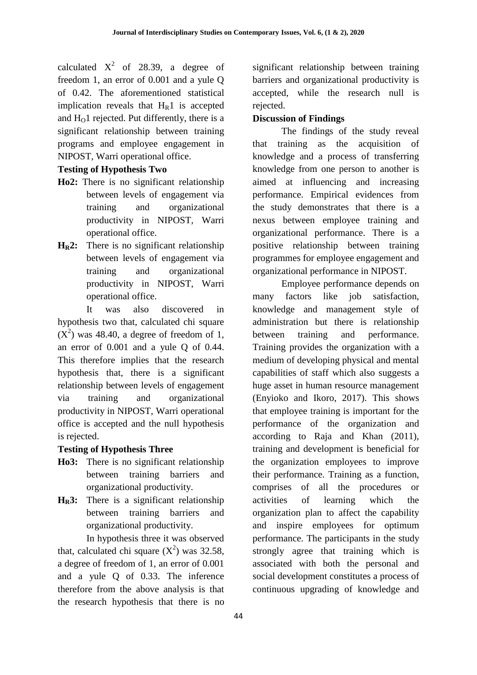calculated  $X^2$  of 28.39, a degree of freedom 1, an error of 0.001 and a yule Q of 0.42. The aforementioned statistical implication reveals that  $H_R1$  is accepted and  $H_0$ 1 rejected. Put differently, there is a significant relationship between training programs and employee engagement in NIPOST, Warri operational office.

## **Testing of Hypothesis Two**

- **Ho2:** There is no significant relationship between levels of engagement via training and organizational productivity in NIPOST, Warri operational office.
- **HR2:** There is no significant relationship between levels of engagement via training and organizational productivity in NIPOST, Warri operational office.

It was also discovered in hypothesis two that, calculated chi square  $(X^2)$  was 48.40, a degree of freedom of 1, an error of 0.001 and a yule Q of 0.44. This therefore implies that the research hypothesis that, there is a significant relationship between levels of engagement via training and organizational productivity in NIPOST, Warri operational office is accepted and the null hypothesis is rejected.

## **Testing of Hypothesis Three**

- **Ho3:** There is no significant relationship between training barriers and organizational productivity.
- **HR3:** There is a significant relationship between training barriers and organizational productivity.

In hypothesis three it was observed that, calculated chi square  $(X^2)$  was 32.58, a degree of freedom of 1, an error of 0.001 and a yule Q of 0.33. The inference therefore from the above analysis is that the research hypothesis that there is no significant relationship between training barriers and organizational productivity is accepted, while the research null is rejected.

#### **Discussion of Findings**

The findings of the study reveal that training as the acquisition of knowledge and a process of transferring knowledge from one person to another is aimed at influencing and increasing performance. Empirical evidences from the study demonstrates that there is a nexus between employee training and organizational performance. There is a positive relationship between training programmes for employee engagement and organizational performance in NIPOST.

Employee performance depends on many factors like job satisfaction, knowledge and management style of administration but there is relationship between training and performance. Training provides the organization with a medium of developing physical and mental capabilities of staff which also suggests a huge asset in human resource management (Enyioko and Ikoro, 2017). This shows that employee training is important for the performance of the organization and according to Raja and Khan (2011), training and development is beneficial for the organization employees to improve their performance. Training as a function, comprises of all the procedures or activities of learning which the organization plan to affect the capability and inspire employees for optimum performance. The participants in the study strongly agree that training which is associated with both the personal and social development constitutes a process of continuous upgrading of knowledge and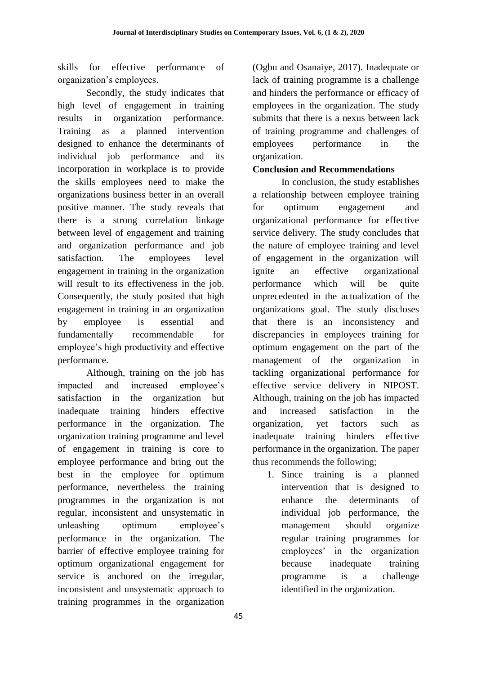skills for effective performance of organization's employees.

Secondly, the study indicates that high level of engagement in training results in organization performance. Training as a planned intervention designed to enhance the determinants of individual job performance and its incorporation in workplace is to provide the skills employees need to make the organizations business better in an overall positive manner. The study reveals that there is a strong correlation linkage between level of engagement and training and organization performance and job satisfaction. The employees level engagement in training in the organization will result to its effectiveness in the job. Consequently, the study posited that high engagement in training in an organization by employee is essential and fundamentally recommendable for employee's high productivity and effective performance.

Although, training on the job has impacted and increased employee's satisfaction in the organization but inadequate training hinders effective performance in the organization. The organization training programme and level of engagement in training is core to employee performance and bring out the best in the employee for optimum performance, nevertheless the training programmes in the organization is not regular, inconsistent and unsystematic in unleashing optimum employee's performance in the organization. The barrier of effective employee training for optimum organizational engagement for service is anchored on the irregular, inconsistent and unsystematic approach to training programmes in the organization (Ogbu and Osanaiye, 2017). Inadequate or lack of training programme is a challenge and hinders the performance or efficacy of employees in the organization. The study submits that there is a nexus between lack of training programme and challenges of employees performance in the organization.

## **Conclusion and Recommendations**

In conclusion, the study establishes a relationship between employee training for optimum engagement and organizational performance for effective service delivery. The study concludes that the nature of employee training and level of engagement in the organization will ignite an effective organizational performance which will be quite unprecedented in the actualization of the organizations goal. The study discloses that there is an inconsistency and discrepancies in employees training for optimum engagement on the part of the management of the organization in tackling organizational performance for effective service delivery in NIPOST. Although, training on the job has impacted and increased satisfaction in the organization, yet factors such as inadequate training hinders effective performance in the organization. The paper thus recommends the following;

1. Since training is a planned intervention that is designed to enhance the determinants of individual job performance, the management should organize regular training programmes for employees' in the organization because inadequate training programme is a challenge identified in the organization.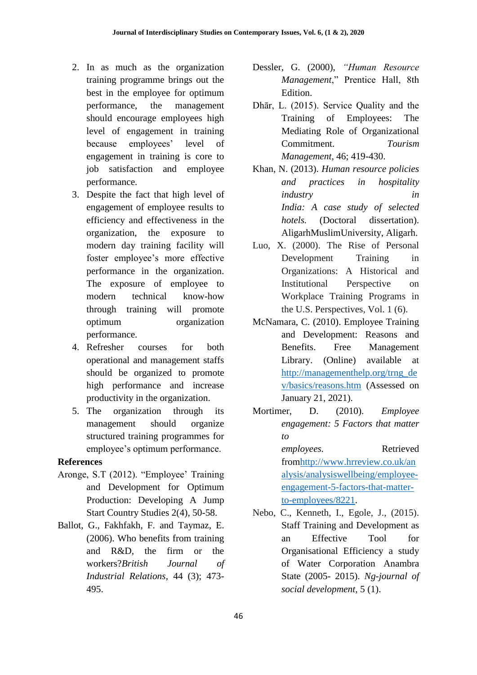- 2. In as much as the organization training programme brings out the best in the employee for optimum performance, the management should encourage employees high level of engagement in training because employees' level of engagement in training is core to job satisfaction and employee performance.
- 3. Despite the fact that high level of engagement of employee results to efficiency and effectiveness in the organization, the exposure to modern day training facility will foster employee's more effective performance in the organization. The exposure of employee to modern technical know-how through training will promote optimum organization performance.
- 4. Refresher courses for both operational and management staffs should be organized to promote high performance and increase productivity in the organization.
- 5. The organization through its management should organize structured training programmes for employee's optimum performance.

## **References**

- Aronge, S.T (2012). "Employee' Training and Development for Optimum Production: Developing A Jump Start Country Studies 2(4), 50-58.
- Ballot, G., Fakhfakh, F. and Taymaz, E. (2006). Who benefits from training and R&D, the firm or the workers?*British Journal of Industrial Relations*, 44 (3); 473- 495.
- Dessler, G. (2000), *"Human Resource Management*," Prentice Hall, 8th Edition.
- Dhār, L. (2015). Service Quality and the Training of Employees: The Mediating Role of Organizational Commitment. *Tourism Management*, 46; 419-430.
- Khan, N. (2013). *Human resource policies and practices in hospitality industry in India: A case study of selected hotels.* (Doctoral dissertation). AligarhMuslimUniversity, Aligarh.
- Luo, X. (2000). The Rise of Personal Development Training in Organizations: A Historical and Institutional Perspective on Workplace Training Programs in the U.S. Perspectives, Vol. 1 (6).
- McNamara, C. (2010). Employee Training and Development: Reasons and Benefits. Free Management Library. (Online) available at [http://managementhelp.org/trng\\_de](http://managementhelp.org/trng_dev/basics/reasons.htm) [v/basics/reasons.htm](http://managementhelp.org/trng_dev/basics/reasons.htm) (Assessed on January 21, 2021).
- Mortimer, D. (2010). *Employee engagement: 5 Factors that matter to employees.* Retrieved fro[mhttp://www.hrreview.co.uk/an](http://www.hrreview.co.uk/analysis/analysiswellbeing/employee-engagement-5-factors-that-matter-to-employees/8221)

[alysis/analysiswellbeing/employee](http://www.hrreview.co.uk/analysis/analysiswellbeing/employee-engagement-5-factors-that-matter-to-employees/8221)[engagement-5-factors-that-matter](http://www.hrreview.co.uk/analysis/analysiswellbeing/employee-engagement-5-factors-that-matter-to-employees/8221)[to-employees/8221.](http://www.hrreview.co.uk/analysis/analysiswellbeing/employee-engagement-5-factors-that-matter-to-employees/8221)

Nebo, C., Kenneth, I., Egole, J., (2015). Staff Training and Development as an Effective Tool for Organisational Efficiency a study of Water Corporation Anambra State (2005- 2015). *Ng-journal of social development,* 5 (1).